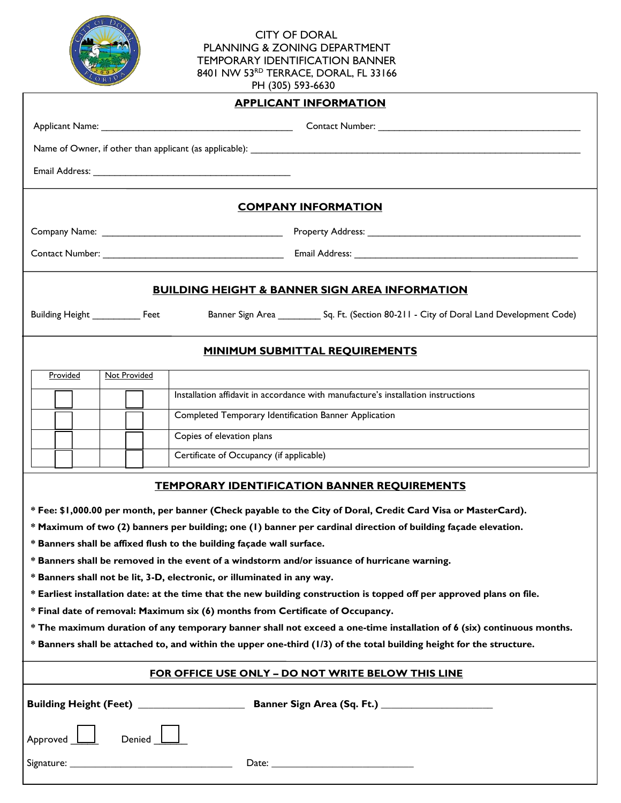

## CITY OF DORAL PLANNING & ZONING DEPARTMENT TEMPORARY IDENTIFICATION BANNER 8401 NW 53<sup>RD</sup> TERRACE, DORAL, FL 33166 PH (305) 593-6630

| <b>APPLICANT INFORMATION</b>                                                                                           |                                                                                                                                                                                                                                               |                                                                                                                       |  |  |  |
|------------------------------------------------------------------------------------------------------------------------|-----------------------------------------------------------------------------------------------------------------------------------------------------------------------------------------------------------------------------------------------|-----------------------------------------------------------------------------------------------------------------------|--|--|--|
|                                                                                                                        |                                                                                                                                                                                                                                               | Applicant Name: 1990 Manual Manual Manual Manual Manual Manual Manual Manual Manual Manual Manual Manual Manua        |  |  |  |
|                                                                                                                        |                                                                                                                                                                                                                                               |                                                                                                                       |  |  |  |
|                                                                                                                        |                                                                                                                                                                                                                                               |                                                                                                                       |  |  |  |
|                                                                                                                        |                                                                                                                                                                                                                                               | <u> 1980 - Jan Alexander de Carlos III e al III-lea de la carlo de la carlo de la carlo de la carlo de la carlo d</u> |  |  |  |
|                                                                                                                        |                                                                                                                                                                                                                                               | <b>COMPANY INFORMATION</b>                                                                                            |  |  |  |
|                                                                                                                        |                                                                                                                                                                                                                                               |                                                                                                                       |  |  |  |
|                                                                                                                        |                                                                                                                                                                                                                                               |                                                                                                                       |  |  |  |
|                                                                                                                        |                                                                                                                                                                                                                                               |                                                                                                                       |  |  |  |
| <b>BUILDING HEIGHT &amp; BANNER SIGN AREA INFORMATION</b>                                                              |                                                                                                                                                                                                                                               |                                                                                                                       |  |  |  |
|                                                                                                                        |                                                                                                                                                                                                                                               | Banner Sign Area _______________ Sq. Ft. (Section 80-211 - City of Doral Land Development Code)                       |  |  |  |
| <b>MINIMUM SUBMITTAL REQUIREMENTS</b>                                                                                  |                                                                                                                                                                                                                                               |                                                                                                                       |  |  |  |
| Provided                                                                                                               | <b>Not Provided</b>                                                                                                                                                                                                                           |                                                                                                                       |  |  |  |
|                                                                                                                        |                                                                                                                                                                                                                                               | Installation affidavit in accordance with manufacture's installation instructions                                     |  |  |  |
|                                                                                                                        |                                                                                                                                                                                                                                               |                                                                                                                       |  |  |  |
|                                                                                                                        |                                                                                                                                                                                                                                               | Completed Temporary Identification Banner Application                                                                 |  |  |  |
|                                                                                                                        |                                                                                                                                                                                                                                               | Copies of elevation plans                                                                                             |  |  |  |
|                                                                                                                        |                                                                                                                                                                                                                                               | Certificate of Occupancy (if applicable)                                                                              |  |  |  |
| <b>TEMPORARY IDENTIFICATION BANNER REQUIREMENTS</b>                                                                    |                                                                                                                                                                                                                                               |                                                                                                                       |  |  |  |
| * Fee: \$1,000.00 per month, per banner (Check payable to the City of Doral, Credit Card Visa or MasterCard).          |                                                                                                                                                                                                                                               |                                                                                                                       |  |  |  |
| * Maximum of two (2) banners per building; one (1) banner per cardinal direction of building façade elevation.         |                                                                                                                                                                                                                                               |                                                                                                                       |  |  |  |
| * Banners shall be affixed flush to the building façade wall surface.                                                  |                                                                                                                                                                                                                                               |                                                                                                                       |  |  |  |
| * Banners shall be removed in the event of a windstorm and/or issuance of hurricane warning.                           |                                                                                                                                                                                                                                               |                                                                                                                       |  |  |  |
| * Banners shall not be lit, 3-D, electronic, or illuminated in any way.                                                |                                                                                                                                                                                                                                               |                                                                                                                       |  |  |  |
| * Earliest installation date: at the time that the new building construction is topped off per approved plans on file. |                                                                                                                                                                                                                                               |                                                                                                                       |  |  |  |
| * Final date of removal: Maximum six (6) months from Certificate of Occupancy.                                         |                                                                                                                                                                                                                                               |                                                                                                                       |  |  |  |
|                                                                                                                        | * The maximum duration of any temporary banner shall not exceed a one-time installation of 6 (six) continuous months.<br>* Banners shall be attached to, and within the upper one-third (1/3) of the total building height for the structure. |                                                                                                                       |  |  |  |
|                                                                                                                        |                                                                                                                                                                                                                                               |                                                                                                                       |  |  |  |
| FOR OFFICE USE ONLY - DO NOT WRITE BELOW THIS LINE                                                                     |                                                                                                                                                                                                                                               |                                                                                                                       |  |  |  |
|                                                                                                                        |                                                                                                                                                                                                                                               |                                                                                                                       |  |  |  |
| Denied L<br>Approved L                                                                                                 |                                                                                                                                                                                                                                               |                                                                                                                       |  |  |  |
| Signature: _                                                                                                           |                                                                                                                                                                                                                                               | Date:                                                                                                                 |  |  |  |